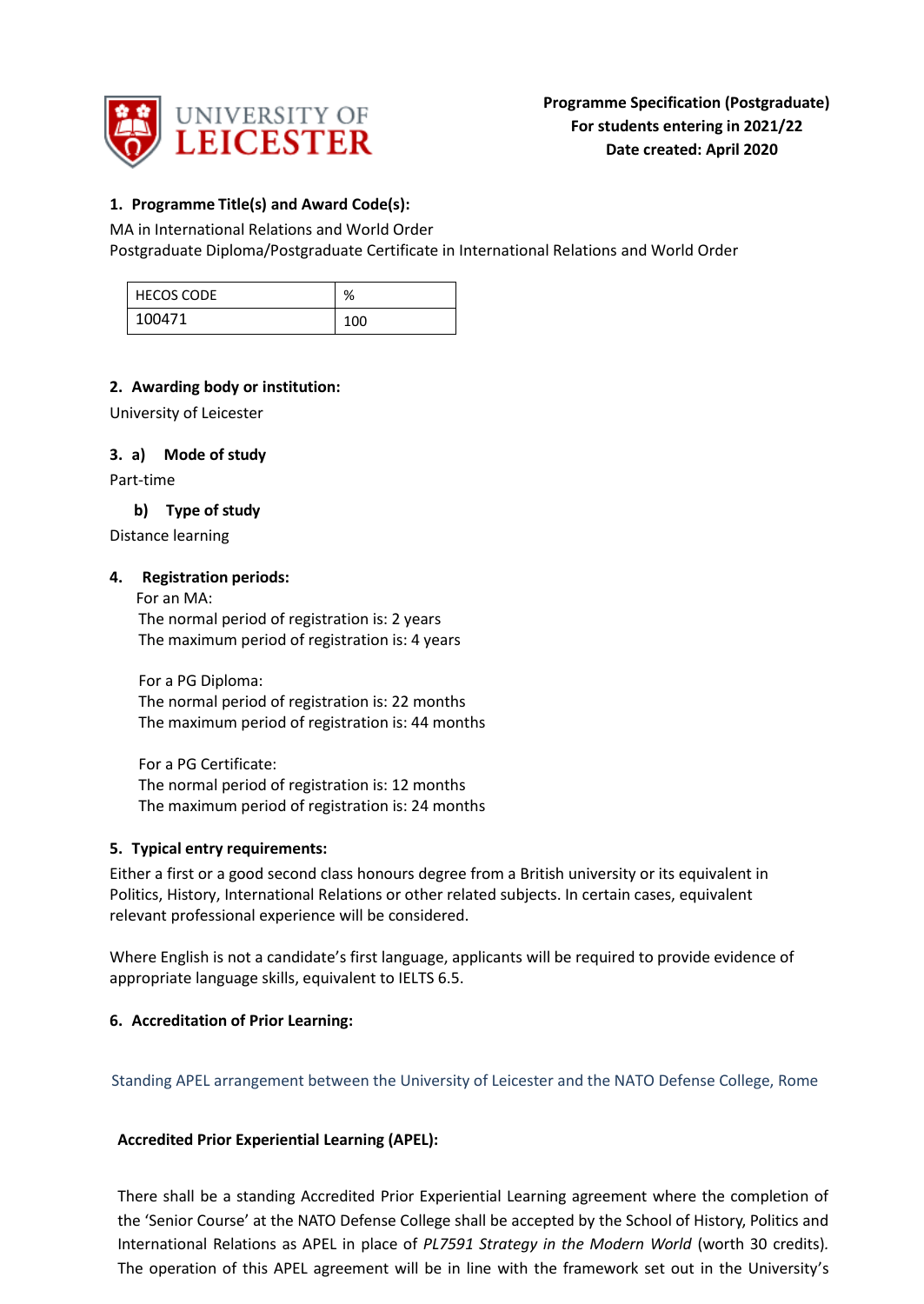

## **1. Programme Title(s) and Award Code(s):**

MA in International Relations and World Order Postgraduate Diploma/Postgraduate Certificate in International Relations and World Order

| <b>HECOS CODE</b> | %   |
|-------------------|-----|
| 100471            | 100 |

## **2. Awarding body or institution:**

University of Leicester

### **3. a) Mode of study**

Part-time

### **b) Type of study**

Distance learning

### **4. Registration periods:**

 For an MA: The normal period of registration is: 2 years The maximum period of registration is: 4 years

For a PG Diploma: The normal period of registration is: 22 months The maximum period of registration is: 44 months

For a PG Certificate: The normal period of registration is: 12 months The maximum period of registration is: 24 months

### **5. Typical entry requirements:**

Either a first or a good second class honours degree from a British university or its equivalent in Politics, History, International Relations or other related subjects. In certain cases, equivalent relevant professional experience will be considered.

Where English is not a candidate's first language, applicants will be required to provide evidence of appropriate language skills, equivalent to IELTS 6.5.

### **6. Accreditation of Prior Learning:**

Standing APEL arrangement between the University of Leicester and the NATO Defense College, Rome

#### **Accredited Prior Experiential Learning (APEL):**

There shall be a standing Accredited Prior Experiential Learning agreement where the completion of the 'Senior Course' at the NATO Defense College shall be accepted by the School of History, Politics and International Relations as APEL in place of *PL7591 Strategy in the Modern World* (worth 30 credits)*.*  The operation of this APEL agreement will be in line with the framework set out in the University's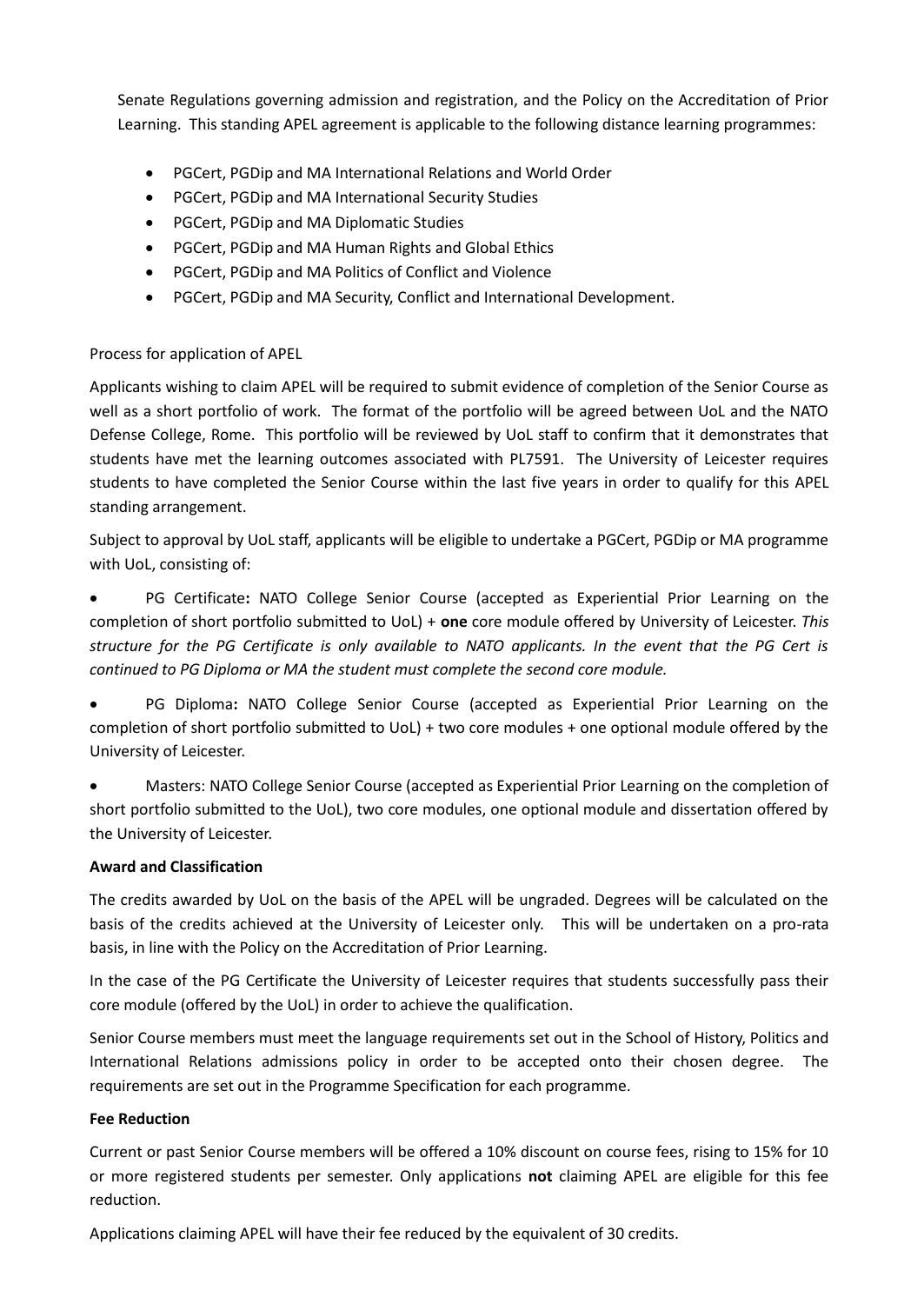Senate Regulations governing admission and registration, and the Policy on the Accreditation of Prior Learning.This standing APEL agreement is applicable to the following distance learning programmes:

- PGCert, PGDip and MA International Relations and World Order
- PGCert, PGDip and MA International Security Studies
- PGCert, PGDip and MA Diplomatic Studies
- PGCert, PGDip and MA Human Rights and Global Ethics
- PGCert, PGDip and MA Politics of Conflict and Violence
- PGCert, PGDip and MA Security, Conflict and International Development.

# Process for application of APEL

Applicants wishing to claim APEL will be required to submit evidence of completion of the Senior Course as well as a short portfolio of work. The format of the portfolio will be agreed between UoL and the NATO Defense College, Rome. This portfolio will be reviewed by UoL staff to confirm that it demonstrates that students have met the learning outcomes associated with PL7591. The University of Leicester requires students to have completed the Senior Course within the last five years in order to qualify for this APEL standing arrangement.

Subject to approval by UoL staff, applicants will be eligible to undertake a PGCert, PGDip or MA programme with UoL, consisting of:

 PG Certificate**:** NATO College Senior Course (accepted as Experiential Prior Learning on the completion of short portfolio submitted to UoL) + **one** core module offered by University of Leicester. *This structure for the PG Certificate is only available to NATO applicants. In the event that the PG Cert is continued to PG Diploma or MA the student must complete the second core module.*

 PG Diploma**:** NATO College Senior Course (accepted as Experiential Prior Learning on the completion of short portfolio submitted to UoL) + two core modules + one optional module offered by the University of Leicester.

 Masters: NATO College Senior Course (accepted as Experiential Prior Learning on the completion of short portfolio submitted to the UoL), two core modules, one optional module and dissertation offered by the University of Leicester.

### **Award and Classification**

The credits awarded by UoL on the basis of the APEL will be ungraded. Degrees will be calculated on the basis of the credits achieved at the University of Leicester only. This will be undertaken on a pro-rata basis, in line with the Policy on the Accreditation of Prior Learning.

In the case of the PG Certificate the University of Leicester requires that students successfully pass their core module (offered by the UoL) in order to achieve the qualification.

Senior Course members must meet the language requirements set out in the School of History, Politics and International Relations admissions policy in order to be accepted onto their chosen degree. The requirements are set out in the Programme Specification for each programme.

### **Fee Reduction**

Current or past Senior Course members will be offered a 10% discount on course fees, rising to 15% for 10 or more registered students per semester. Only applications **not** claiming APEL are eligible for this fee reduction.

Applications claiming APEL will have their fee reduced by the equivalent of 30 credits.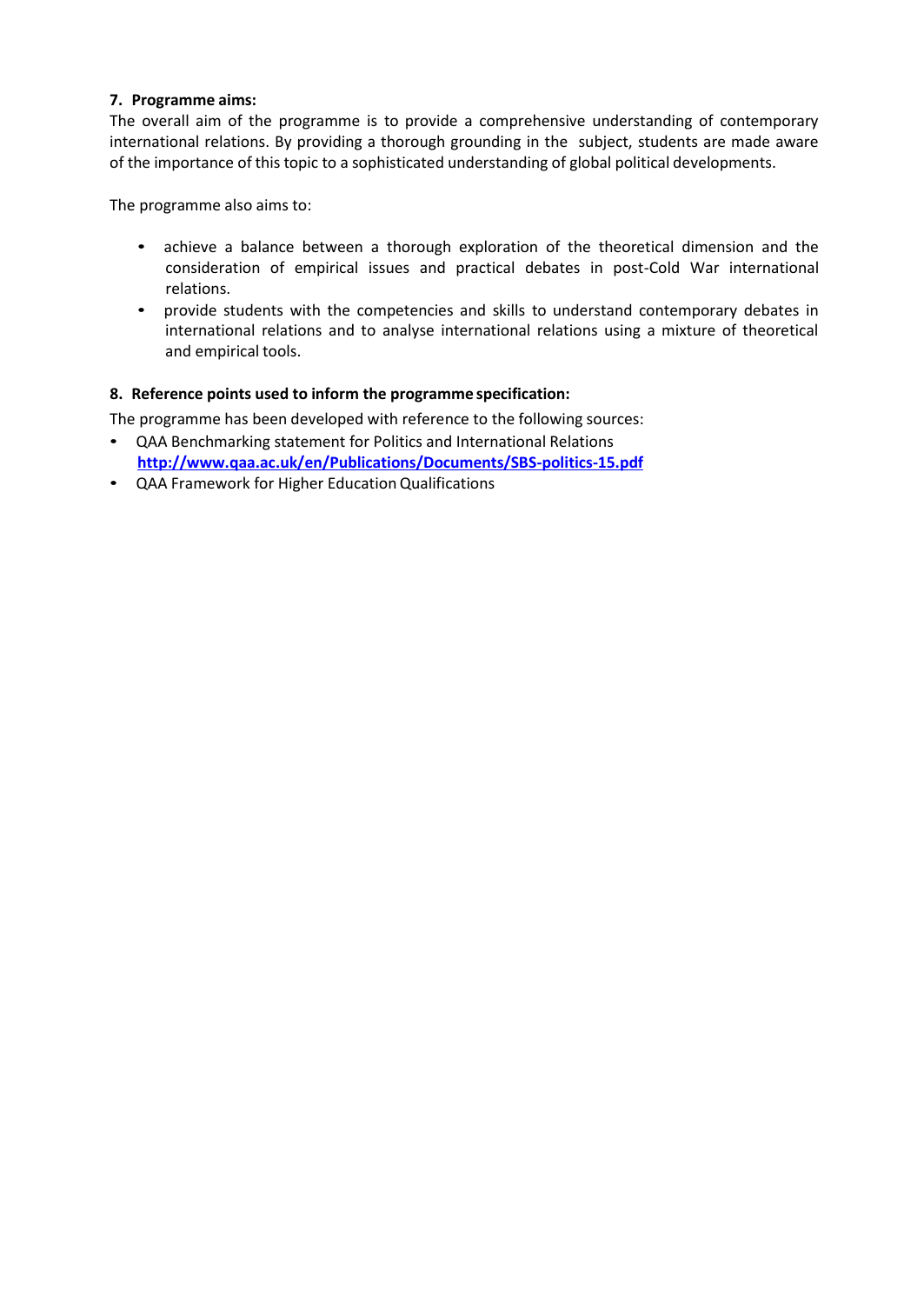### **7. Programme aims:**

The overall aim of the programme is to provide a comprehensive understanding of contemporary international relations. By providing a thorough grounding in the subject, students are made aware of the importance of this topic to a sophisticated understanding of global political developments.

The programme also aims to:

- achieve a balance between a thorough exploration of the theoretical dimension and the consideration of empirical issues and practical debates in post-Cold War international relations.
- provide students with the competencies and skills to understand contemporary debates in international relations and to analyse international relations using a mixture of theoretical and empirical tools.

## **8. Reference points used to inform the programme specification:**

The programme has been developed with reference to the following sources:

- QAA Benchmarking statement for Politics and International Relations **<http://www.qaa.ac.uk/en/Publications/Documents/SBS-politics-15.pdf>**
- QAA Framework for Higher EducationQualifications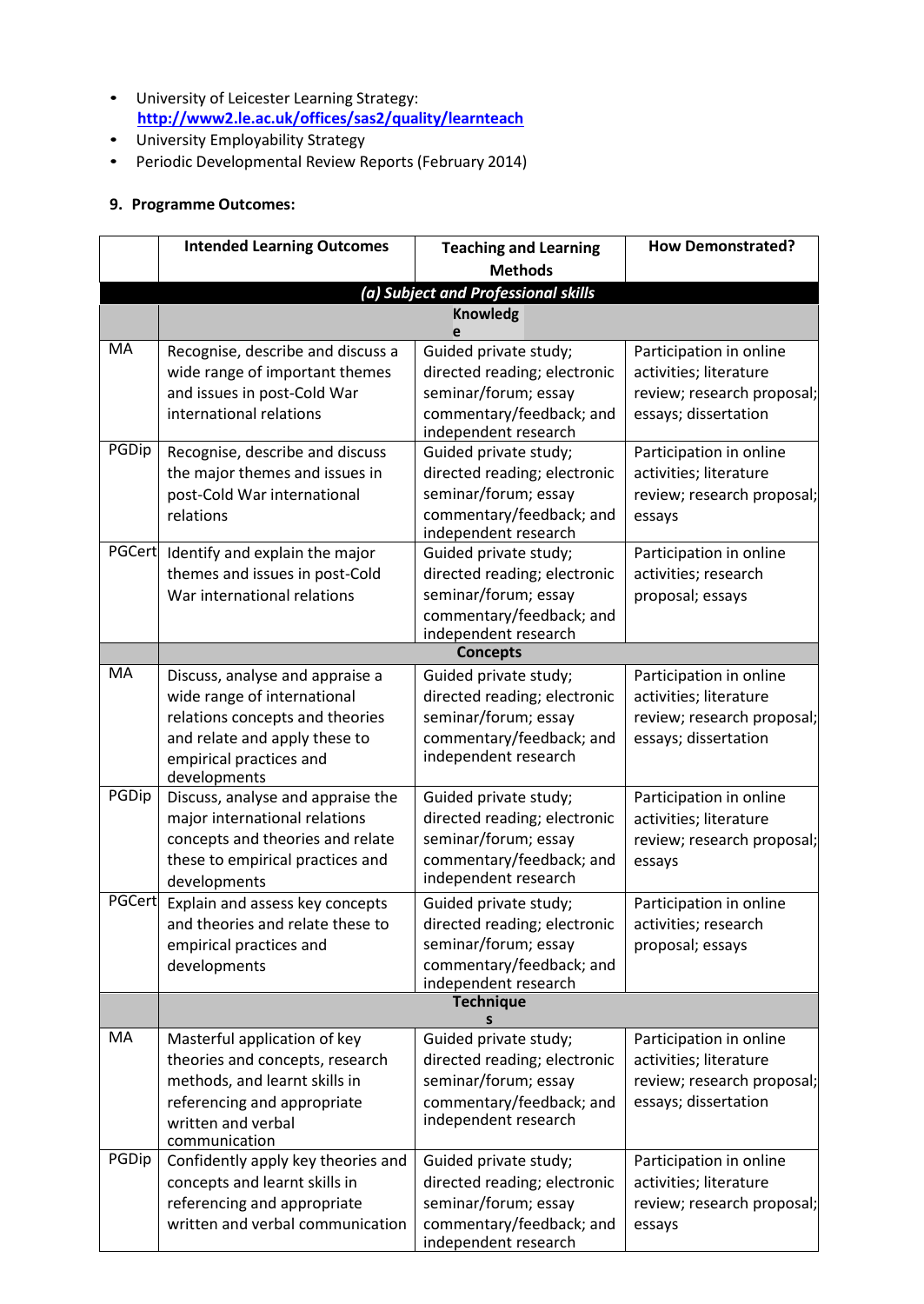- University of Leicester Learning Strategy: **<http://www2.le.ac.uk/offices/sas2/quality/learnteach>**
- University Employability Strategy
- Periodic Developmental Review Reports (February 2014)

# **9. Programme Outcomes:**

|        | <b>Intended Learning Outcomes</b>                                                                                                                                             | <b>Teaching and Learning</b>                                                                                                      | <b>How Demonstrated?</b>                                                                                |  |  |
|--------|-------------------------------------------------------------------------------------------------------------------------------------------------------------------------------|-----------------------------------------------------------------------------------------------------------------------------------|---------------------------------------------------------------------------------------------------------|--|--|
|        |                                                                                                                                                                               | <b>Methods</b>                                                                                                                    |                                                                                                         |  |  |
|        | (a) Subject and Professional skills                                                                                                                                           |                                                                                                                                   |                                                                                                         |  |  |
|        | <b>Knowledg</b><br>e                                                                                                                                                          |                                                                                                                                   |                                                                                                         |  |  |
| MA     | Recognise, describe and discuss a<br>wide range of important themes<br>and issues in post-Cold War<br>international relations                                                 | Guided private study;<br>directed reading; electronic<br>seminar/forum; essay<br>commentary/feedback; and<br>independent research | Participation in online<br>activities; literature<br>review; research proposal;<br>essays; dissertation |  |  |
| PGDip  | Recognise, describe and discuss<br>the major themes and issues in<br>post-Cold War international<br>relations                                                                 | Guided private study;<br>directed reading; electronic<br>seminar/forum; essay<br>commentary/feedback; and<br>independent research | Participation in online<br>activities; literature<br>review; research proposal;<br>essays               |  |  |
| PGCert | Identify and explain the major<br>themes and issues in post-Cold<br>War international relations                                                                               | Guided private study;<br>directed reading; electronic<br>seminar/forum; essay<br>commentary/feedback; and<br>independent research | Participation in online<br>activities; research<br>proposal; essays                                     |  |  |
|        |                                                                                                                                                                               | <b>Concepts</b>                                                                                                                   |                                                                                                         |  |  |
| MA     | Discuss, analyse and appraise a<br>wide range of international<br>relations concepts and theories<br>and relate and apply these to<br>empirical practices and<br>developments | Guided private study;<br>directed reading; electronic<br>seminar/forum; essay<br>commentary/feedback; and<br>independent research | Participation in online<br>activities; literature<br>review; research proposal;<br>essays; dissertation |  |  |
| PGDip  | Discuss, analyse and appraise the<br>major international relations<br>concepts and theories and relate<br>these to empirical practices and<br>developments                    | Guided private study;<br>directed reading; electronic<br>seminar/forum; essay<br>commentary/feedback; and<br>independent research | Participation in online<br>activities; literature<br>review; research proposal;<br>essays               |  |  |
| PGCert | Explain and assess key concepts<br>and theories and relate these to<br>empirical practices and<br>developments                                                                | Guided private study;<br>directed reading; electronic<br>seminar/forum; essay<br>commentary/feedback; and<br>independent research | Participation in online<br>activities: research<br>proposal; essays                                     |  |  |
|        |                                                                                                                                                                               | <b>Technique</b>                                                                                                                  |                                                                                                         |  |  |
| MA     | Masterful application of key<br>theories and concepts, research<br>methods, and learnt skills in<br>referencing and appropriate<br>written and verbal<br>communication        | Guided private study;<br>directed reading; electronic<br>seminar/forum; essay<br>commentary/feedback; and<br>independent research | Participation in online<br>activities; literature<br>review; research proposal;<br>essays; dissertation |  |  |
| PGDip  | Confidently apply key theories and<br>concepts and learnt skills in<br>referencing and appropriate<br>written and verbal communication                                        | Guided private study;<br>directed reading; electronic<br>seminar/forum; essay<br>commentary/feedback; and<br>independent research | Participation in online<br>activities; literature<br>review; research proposal;<br>essays               |  |  |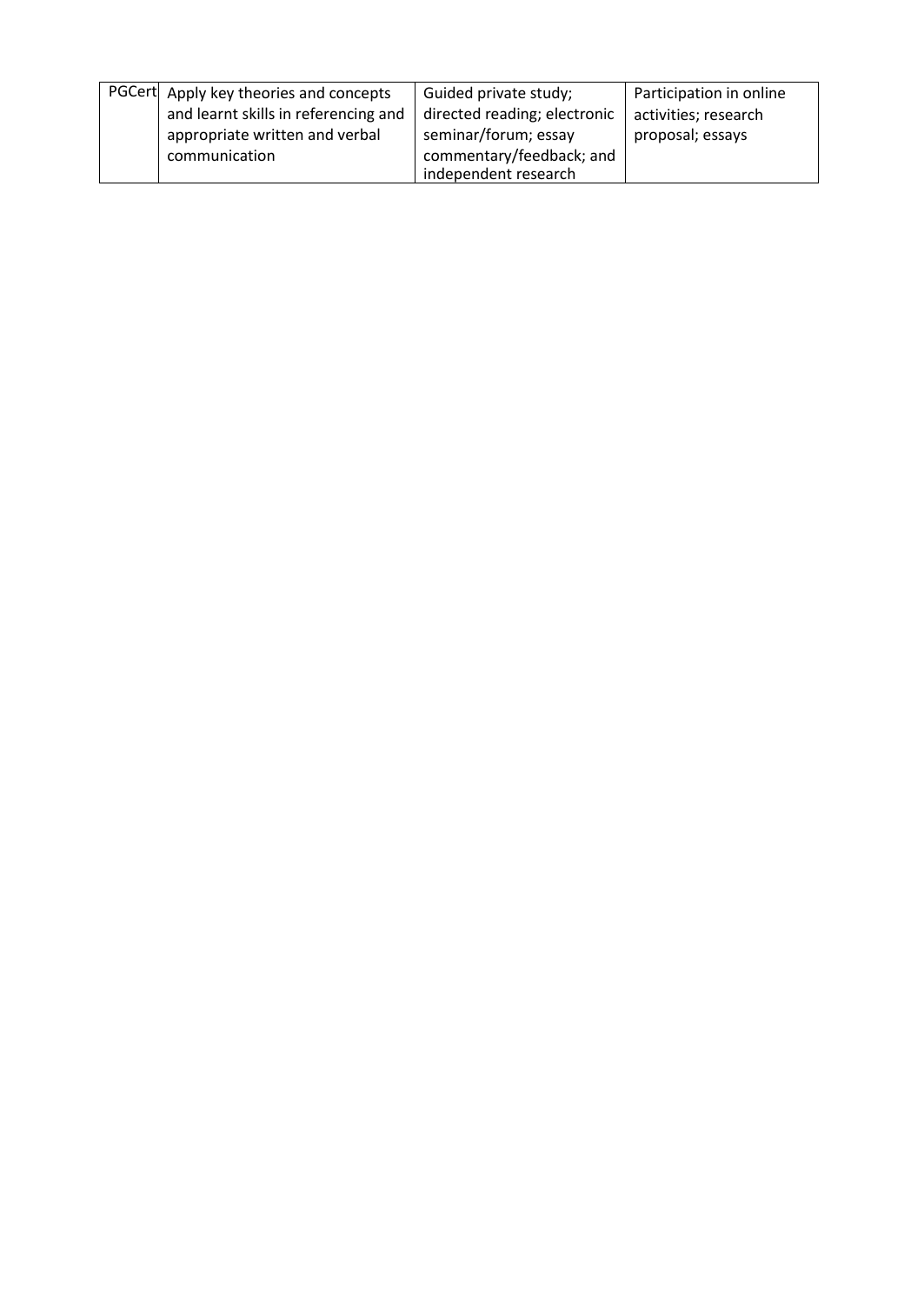| PGCert Apply key theories and concepts | Guided private study;        | Participation in online |
|----------------------------------------|------------------------------|-------------------------|
| and learnt skills in referencing and   | directed reading; electronic | activities; research    |
| appropriate written and verbal         | seminar/forum; essay         | proposal; essays        |
| communication                          | commentary/feedback; and     |                         |
|                                        | independent research         |                         |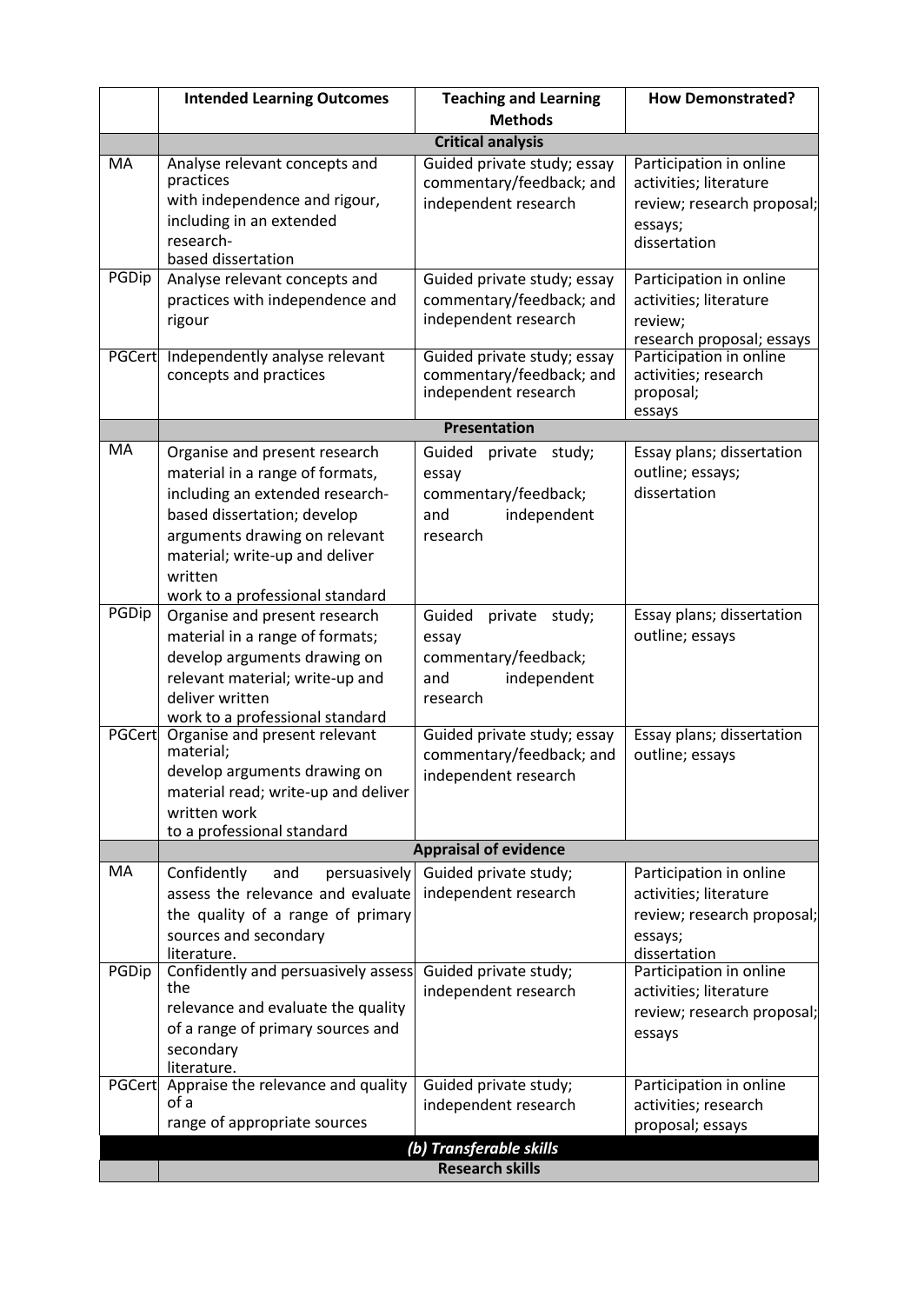|               | <b>Intended Learning Outcomes</b>                                                                                                                                                                                                                   | <b>Teaching and Learning</b>                                                                | <b>How Demonstrated?</b>                                                                                   |  |
|---------------|-----------------------------------------------------------------------------------------------------------------------------------------------------------------------------------------------------------------------------------------------------|---------------------------------------------------------------------------------------------|------------------------------------------------------------------------------------------------------------|--|
|               |                                                                                                                                                                                                                                                     | <b>Methods</b>                                                                              |                                                                                                            |  |
|               |                                                                                                                                                                                                                                                     | <b>Critical analysis</b>                                                                    |                                                                                                            |  |
| <b>MA</b>     | Analyse relevant concepts and<br>practices<br>with independence and rigour,<br>including in an extended<br>research-<br>based dissertation                                                                                                          | Guided private study; essay<br>commentary/feedback; and<br>independent research             | Participation in online<br>activities; literature<br>review; research proposal;<br>essays;<br>dissertation |  |
| PGDip         | Analyse relevant concepts and<br>practices with independence and<br>rigour                                                                                                                                                                          | Guided private study; essay<br>commentary/feedback; and<br>independent research             | Participation in online<br>activities; literature<br>review;<br>research proposal; essays                  |  |
| <b>PGCert</b> | Independently analyse relevant<br>concepts and practices                                                                                                                                                                                            | Guided private study; essay<br>commentary/feedback; and<br>independent research             | Participation in online<br>activities; research<br>proposal;<br>essays                                     |  |
|               |                                                                                                                                                                                                                                                     | <b>Presentation</b>                                                                         |                                                                                                            |  |
| MA            | Organise and present research<br>material in a range of formats,<br>including an extended research-<br>based dissertation; develop<br>arguments drawing on relevant<br>material; write-up and deliver<br>written<br>work to a professional standard | Guided<br>private study;<br>essay<br>commentary/feedback;<br>and<br>independent<br>research | Essay plans; dissertation<br>outline; essays;<br>dissertation                                              |  |
| <b>PGDip</b>  | Organise and present research<br>material in a range of formats;<br>develop arguments drawing on<br>relevant material; write-up and<br>deliver written<br>work to a professional standard                                                           | Guided<br>private study;<br>essay<br>commentary/feedback;<br>independent<br>and<br>research | Essay plans; dissertation<br>outline; essays                                                               |  |
| <b>PGCert</b> | Organise and present relevant<br>material;<br>develop arguments drawing on<br>material read; write-up and deliver<br>written work<br>to a professional standard                                                                                     | Guided private study; essay<br>commentary/feedback; and<br>independent research             | Essay plans; dissertation<br>outline; essays                                                               |  |
| MA            |                                                                                                                                                                                                                                                     | <b>Appraisal of evidence</b>                                                                |                                                                                                            |  |
|               | Confidently<br>persuasively<br>and<br>assess the relevance and evaluate<br>the quality of a range of primary<br>sources and secondary<br>literature.                                                                                                | Guided private study;<br>independent research                                               | Participation in online<br>activities; literature<br>review; research proposal;<br>essays;<br>dissertation |  |
| PGDip         | Confidently and persuasively assess<br>the<br>relevance and evaluate the quality<br>of a range of primary sources and<br>secondary<br>literature.                                                                                                   | Guided private study;<br>independent research                                               | Participation in online<br>activities; literature<br>review; research proposal;<br>essays                  |  |
|               | PGCert Appraise the relevance and quality<br>of a<br>range of appropriate sources                                                                                                                                                                   | Guided private study;<br>independent research                                               | Participation in online<br>activities; research<br>proposal; essays                                        |  |
|               |                                                                                                                                                                                                                                                     | (b) Transferable skills<br><b>Research skills</b>                                           |                                                                                                            |  |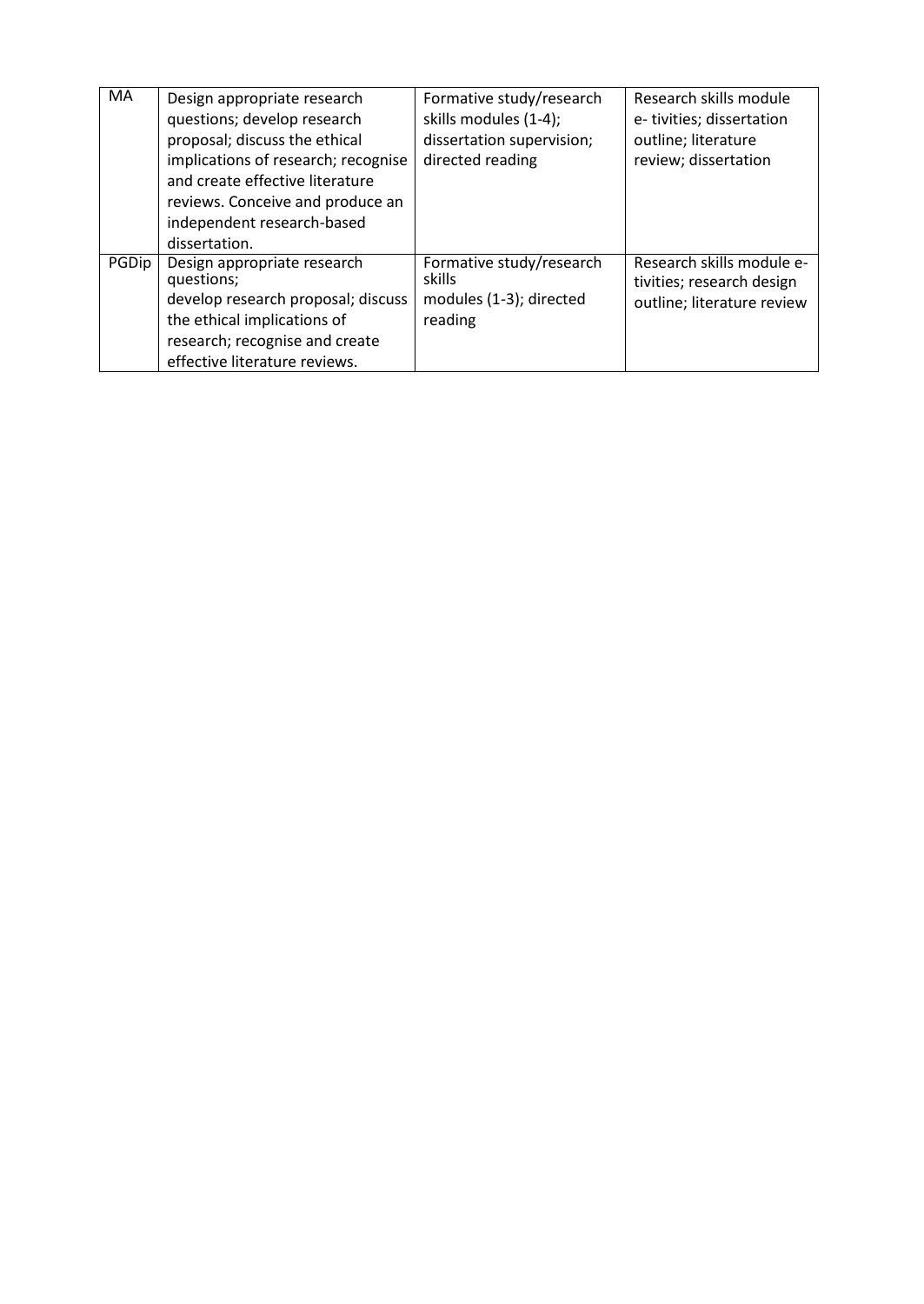| <b>MA</b> | Design appropriate research<br>questions; develop research<br>proposal; discuss the ethical<br>implications of research; recognise<br>and create effective literature<br>reviews. Conceive and produce an<br>independent research-based<br>dissertation. | Formative study/research<br>skills modules (1-4);<br>dissertation supervision;<br>directed reading | Research skills module<br>e-tivities; dissertation<br>outline; literature<br>review; dissertation |
|-----------|----------------------------------------------------------------------------------------------------------------------------------------------------------------------------------------------------------------------------------------------------------|----------------------------------------------------------------------------------------------------|---------------------------------------------------------------------------------------------------|
| PGDip     | Design appropriate research<br>questions;<br>develop research proposal; discuss<br>the ethical implications of<br>research; recognise and create<br>effective literature reviews.                                                                        | Formative study/research<br>skills<br>modules (1-3); directed<br>reading                           | Research skills module e-<br>tivities; research design<br>outline; literature review              |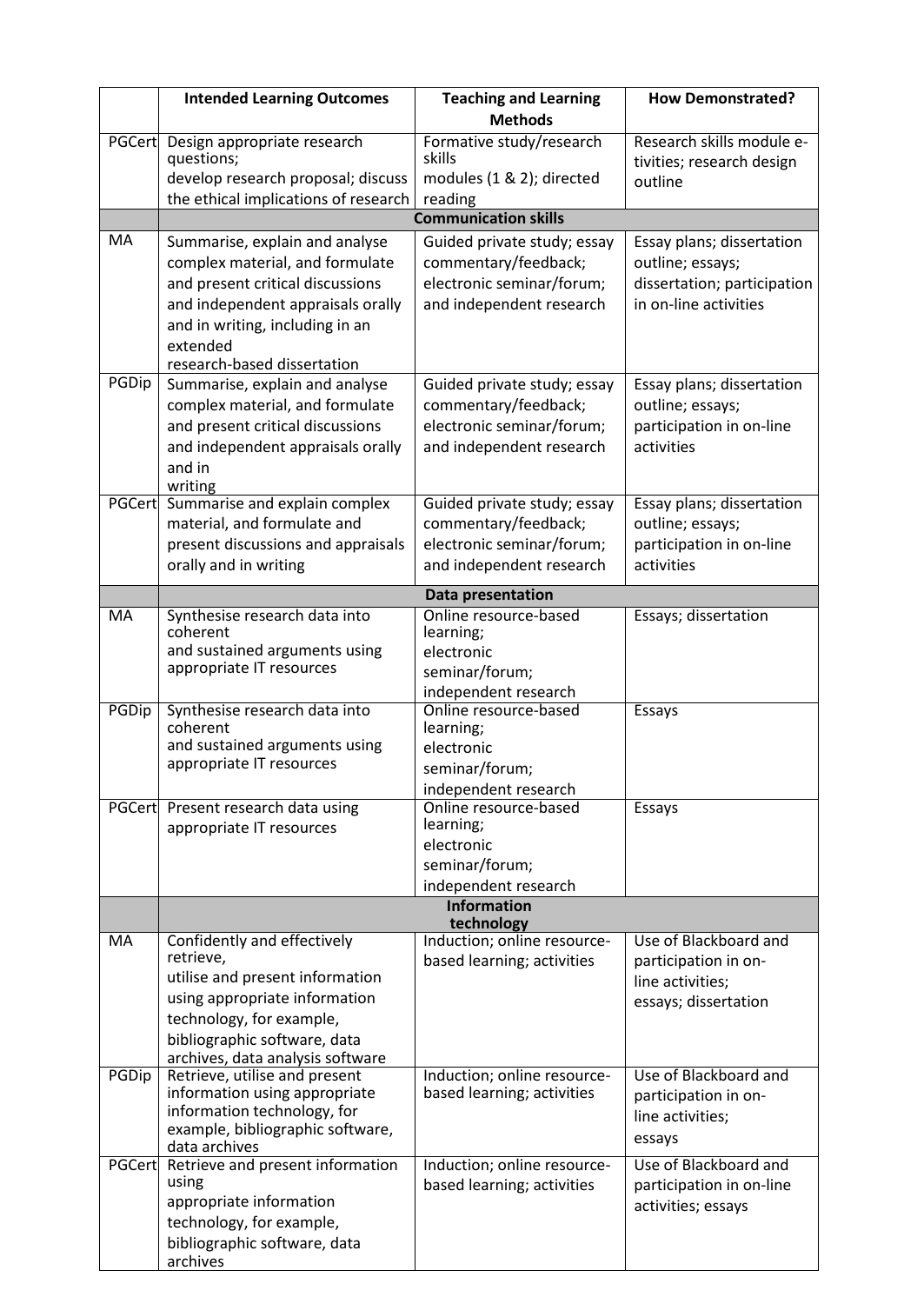|               | <b>Intended Learning Outcomes</b>                                                        | <b>Teaching and Learning</b>                              | <b>How Demonstrated?</b>                               |  |
|---------------|------------------------------------------------------------------------------------------|-----------------------------------------------------------|--------------------------------------------------------|--|
|               |                                                                                          | <b>Methods</b>                                            |                                                        |  |
| <b>PGCert</b> | Design appropriate research<br>questions;                                                | Formative study/research<br>skills                        | Research skills module e-<br>tivities; research design |  |
|               | develop research proposal; discuss                                                       | modules (1 & 2); directed                                 | outline                                                |  |
|               | the ethical implications of research                                                     | reading                                                   |                                                        |  |
|               |                                                                                          | <b>Communication skills</b>                               |                                                        |  |
| MA            | Summarise, explain and analyse                                                           | Guided private study; essay                               | Essay plans; dissertation                              |  |
|               | complex material, and formulate                                                          | commentary/feedback;                                      | outline; essays;                                       |  |
|               | and present critical discussions                                                         | electronic seminar/forum;                                 | dissertation; participation                            |  |
|               | and independent appraisals orally                                                        | and independent research                                  | in on-line activities                                  |  |
|               | and in writing, including in an<br>extended                                              |                                                           |                                                        |  |
|               | research-based dissertation                                                              |                                                           |                                                        |  |
| PGDip         | Summarise, explain and analyse                                                           | Guided private study; essay                               | Essay plans; dissertation                              |  |
|               | complex material, and formulate                                                          | commentary/feedback;                                      | outline; essays;                                       |  |
|               | and present critical discussions                                                         | electronic seminar/forum;                                 | participation in on-line                               |  |
|               | and independent appraisals orally                                                        | and independent research                                  | activities                                             |  |
|               | and in                                                                                   |                                                           |                                                        |  |
|               | writing                                                                                  |                                                           |                                                        |  |
| PGCert        | Summarise and explain complex<br>material, and formulate and                             | Guided private study; essay<br>commentary/feedback;       | Essay plans; dissertation<br>outline; essays;          |  |
|               | present discussions and appraisals                                                       | electronic seminar/forum;                                 | participation in on-line                               |  |
|               | orally and in writing                                                                    | and independent research                                  | activities                                             |  |
|               |                                                                                          |                                                           |                                                        |  |
| <b>MA</b>     | Synthesise research data into                                                            | Data presentation<br>Online resource-based                | Essays; dissertation                                   |  |
|               | coherent                                                                                 | learning;                                                 |                                                        |  |
|               | and sustained arguments using                                                            | electronic                                                |                                                        |  |
|               | appropriate IT resources                                                                 | seminar/forum;                                            |                                                        |  |
|               |                                                                                          | independent research                                      |                                                        |  |
|               | PGDip<br>Synthesise research data into<br>Online resource-based<br>coherent<br>learning; |                                                           | Essays                                                 |  |
|               | and sustained arguments using                                                            | electronic                                                |                                                        |  |
|               | appropriate IT resources                                                                 | seminar/forum;                                            |                                                        |  |
|               |                                                                                          | independent research                                      |                                                        |  |
|               | PGCert Present research data using                                                       | Online resource-based                                     | Essays                                                 |  |
|               | appropriate IT resources                                                                 | learning;                                                 |                                                        |  |
|               |                                                                                          | electronic<br>seminar/forum;                              |                                                        |  |
|               |                                                                                          | independent research                                      |                                                        |  |
|               |                                                                                          | <b>Information</b>                                        |                                                        |  |
|               |                                                                                          | technology                                                |                                                        |  |
| MA            | Confidently and effectively<br>retrieve,                                                 | Induction; online resource-                               | Use of Blackboard and                                  |  |
|               | utilise and present information                                                          | based learning; activities                                | participation in on-<br>line activities;               |  |
|               | using appropriate information                                                            |                                                           | essays; dissertation                                   |  |
|               | technology, for example,                                                                 |                                                           |                                                        |  |
|               | bibliographic software, data                                                             |                                                           |                                                        |  |
|               | archives, data analysis software                                                         |                                                           |                                                        |  |
| PGDip         | Retrieve, utilise and present<br>information using appropriate                           | Induction; online resource-<br>based learning; activities | Use of Blackboard and                                  |  |
|               | information technology, for                                                              |                                                           | participation in on-<br>line activities;               |  |
|               | example, bibliographic software,                                                         |                                                           |                                                        |  |
|               | data archives                                                                            |                                                           | essays                                                 |  |
|               | PGCert Retrieve and present information<br>using                                         | Induction; online resource-                               | Use of Blackboard and                                  |  |
|               | appropriate information                                                                  | based learning; activities                                | participation in on-line                               |  |
|               | technology, for example,                                                                 |                                                           | activities; essays                                     |  |
|               | bibliographic software, data                                                             |                                                           |                                                        |  |
|               | archives                                                                                 |                                                           |                                                        |  |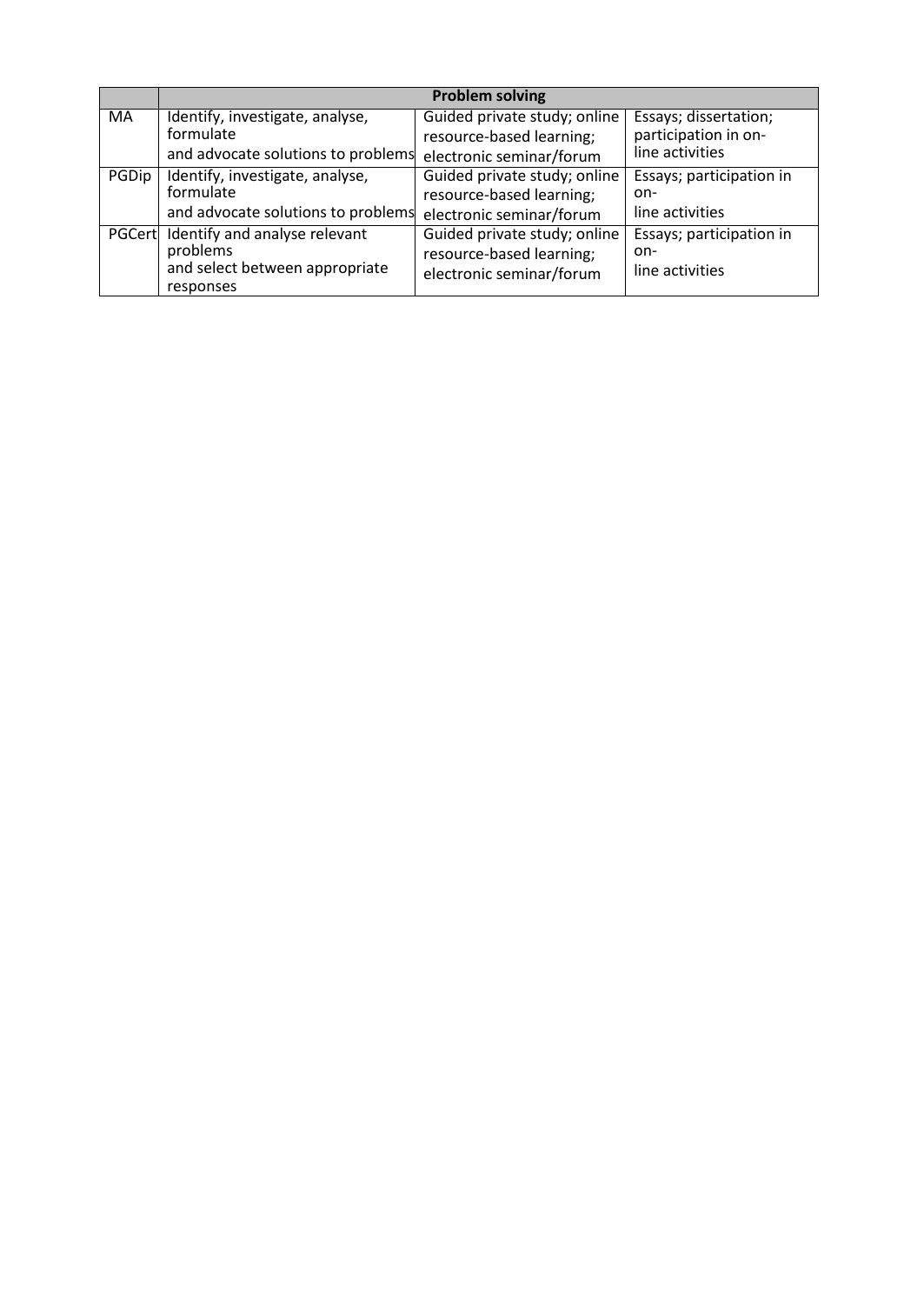|        |                                                                                          | <b>Problem solving</b>                                                               |                                                    |
|--------|------------------------------------------------------------------------------------------|--------------------------------------------------------------------------------------|----------------------------------------------------|
| MA     | Identify, investigate, analyse,                                                          | Guided private study; online                                                         | Essays; dissertation;                              |
|        | formulate                                                                                | resource-based learning;                                                             | participation in on-                               |
|        | and advocate solutions to problems                                                       | electronic seminar/forum                                                             | line activities                                    |
| PGDip  | Identify, investigate, analyse,                                                          | Guided private study; online                                                         | Essays; participation in                           |
|        | formulate                                                                                | resource-based learning;                                                             | on-                                                |
|        | and advocate solutions to problems                                                       | electronic seminar/forum                                                             | line activities                                    |
| PGCert | Identify and analyse relevant<br>problems<br>and select between appropriate<br>responses | Guided private study; online<br>resource-based learning;<br>electronic seminar/forum | Essays; participation in<br>on-<br>line activities |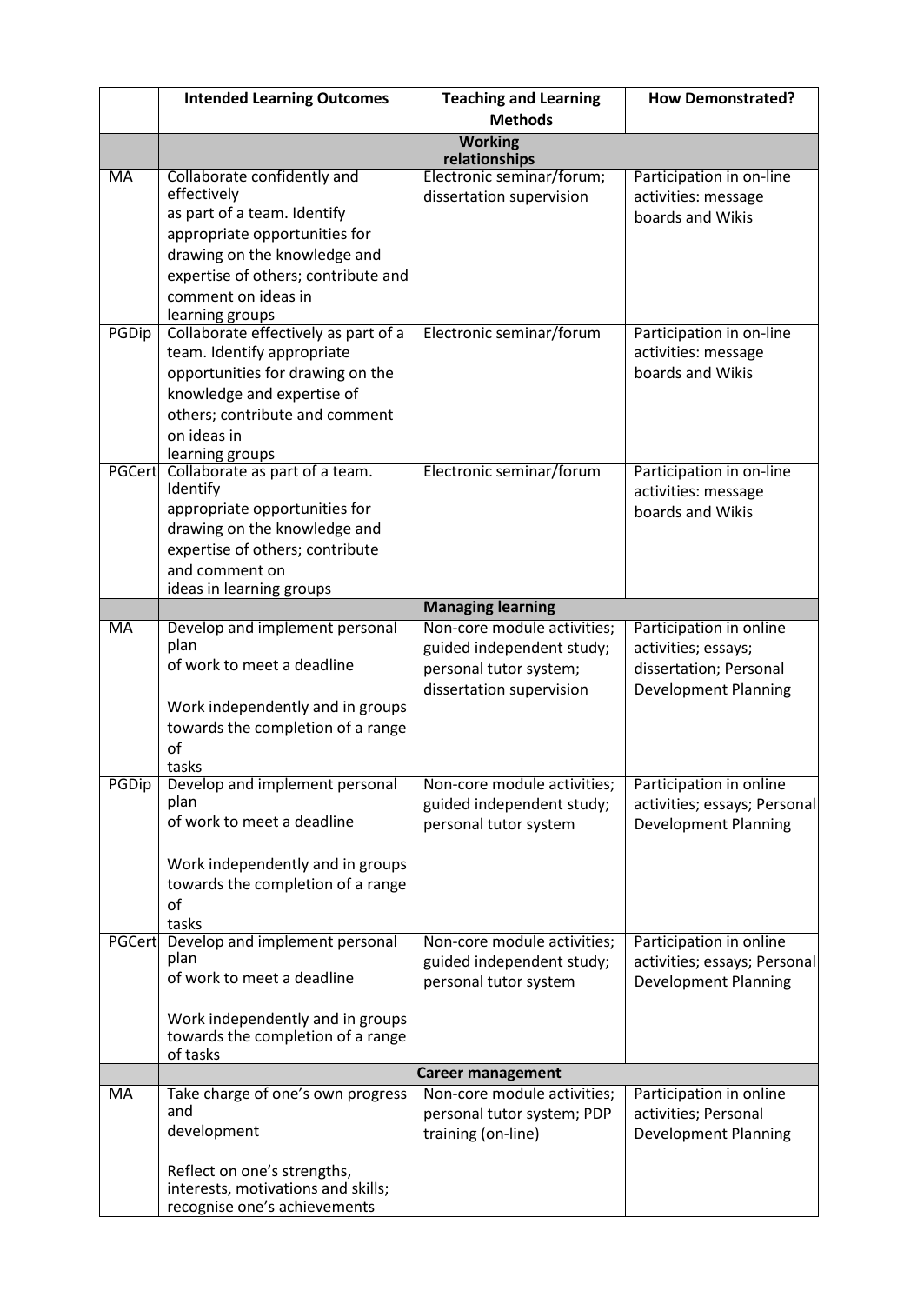|           | <b>Intended Learning Outcomes</b>                 | <b>Teaching and Learning</b> | <b>How Demonstrated?</b>                |
|-----------|---------------------------------------------------|------------------------------|-----------------------------------------|
|           |                                                   | <b>Methods</b>               |                                         |
|           | <b>Working</b>                                    |                              |                                         |
|           |                                                   | relationships                |                                         |
| <b>MA</b> | Collaborate confidently and<br>effectively        | Electronic seminar/forum;    | Participation in on-line                |
|           | as part of a team. Identify                       | dissertation supervision     | activities: message<br>boards and Wikis |
|           | appropriate opportunities for                     |                              |                                         |
|           | drawing on the knowledge and                      |                              |                                         |
|           | expertise of others; contribute and               |                              |                                         |
|           | comment on ideas in                               |                              |                                         |
|           | learning groups                                   |                              |                                         |
| PGDip     | Collaborate effectively as part of a              | Electronic seminar/forum     | Participation in on-line                |
|           | team. Identify appropriate                        |                              | activities: message                     |
|           | opportunities for drawing on the                  |                              | boards and Wikis                        |
|           | knowledge and expertise of                        |                              |                                         |
|           | others; contribute and comment                    |                              |                                         |
|           | on ideas in                                       |                              |                                         |
| PGCert    | learning groups<br>Collaborate as part of a team. | Electronic seminar/forum     | Participation in on-line                |
|           | Identify                                          |                              | activities: message                     |
|           | appropriate opportunities for                     |                              | boards and Wikis                        |
|           | drawing on the knowledge and                      |                              |                                         |
|           | expertise of others; contribute                   |                              |                                         |
|           | and comment on                                    |                              |                                         |
|           | ideas in learning groups                          |                              |                                         |
|           |                                                   | <b>Managing learning</b>     |                                         |
| MA        | Develop and implement personal<br>plan            | Non-core module activities;  | Participation in online                 |
|           | of work to meet a deadline                        | guided independent study;    | activities; essays;                     |
|           |                                                   | personal tutor system;       | dissertation; Personal                  |
|           | Work independently and in groups                  | dissertation supervision     | <b>Development Planning</b>             |
|           | towards the completion of a range                 |                              |                                         |
|           | of                                                |                              |                                         |
|           | tasks                                             |                              |                                         |
| PGDip     | Develop and implement personal                    | Non-core module activities;  | Participation in online                 |
|           | plan                                              | guided independent study;    | activities; essays; Personal            |
|           | of work to meet a deadline                        | personal tutor system        | <b>Development Planning</b>             |
|           |                                                   |                              |                                         |
|           | Work independently and in groups                  |                              |                                         |
|           | towards the completion of a range                 |                              |                                         |
|           | of<br>tasks                                       |                              |                                         |
| PGCert    | Develop and implement personal                    | Non-core module activities;  | Participation in online                 |
|           | plan                                              | guided independent study;    | activities; essays; Personal            |
|           | of work to meet a deadline                        | personal tutor system        | <b>Development Planning</b>             |
|           |                                                   |                              |                                         |
|           | Work independently and in groups                  |                              |                                         |
|           | towards the completion of a range<br>of tasks     |                              |                                         |
|           |                                                   | <b>Career management</b>     |                                         |
| MA        | Take charge of one's own progress                 | Non-core module activities;  | Participation in online                 |
|           | and                                               | personal tutor system; PDP   | activities; Personal                    |
|           | development                                       | training (on-line)           | <b>Development Planning</b>             |
|           |                                                   |                              |                                         |
|           | Reflect on one's strengths,                       |                              |                                         |
|           | interests, motivations and skills;                |                              |                                         |
|           | recognise one's achievements                      |                              |                                         |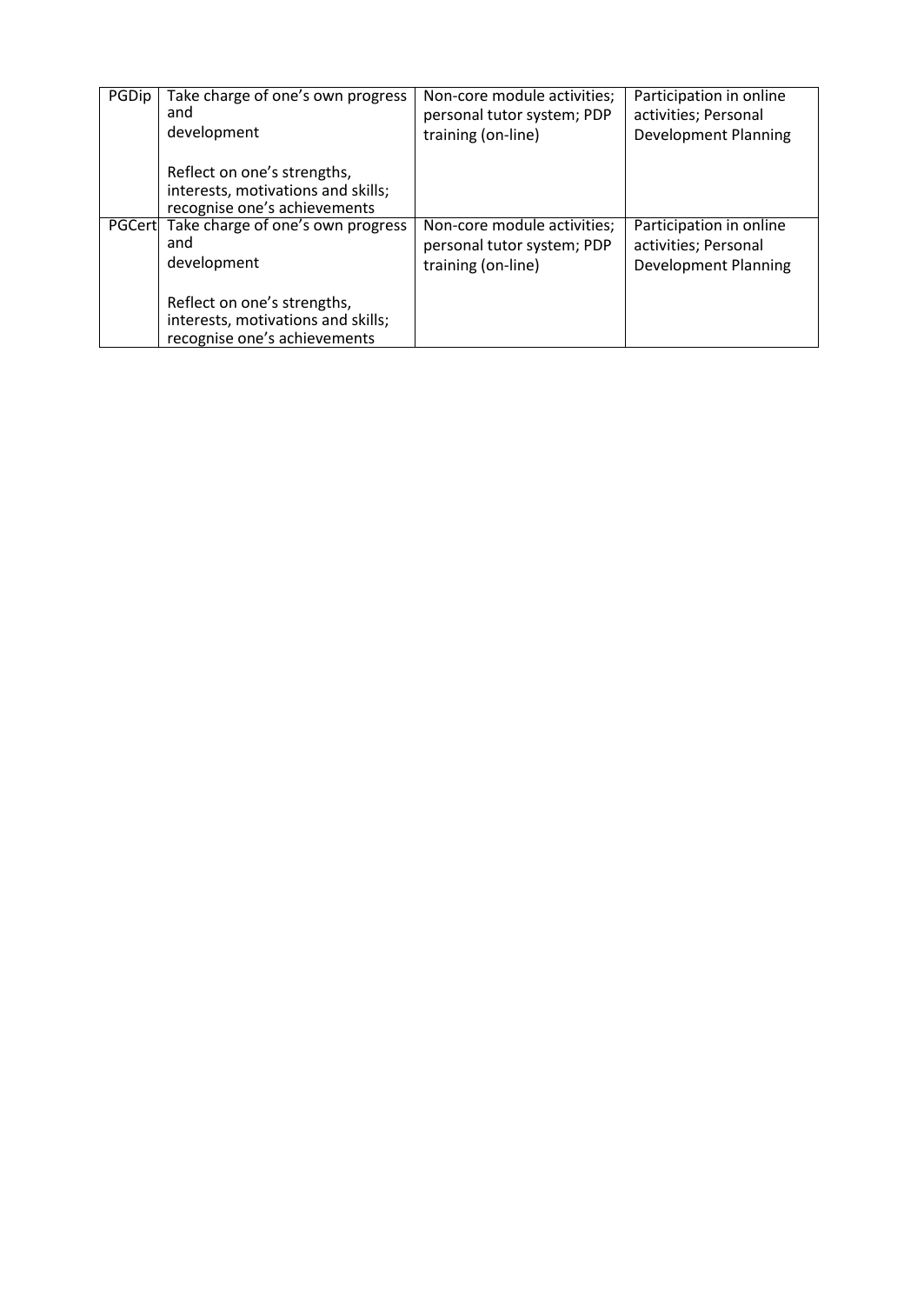| PGDip | Take charge of one's own progress                                                                 | Non-core module activities; | Participation in online     |
|-------|---------------------------------------------------------------------------------------------------|-----------------------------|-----------------------------|
|       | and                                                                                               | personal tutor system; PDP  | activities; Personal        |
|       | development                                                                                       | training (on-line)          | <b>Development Planning</b> |
|       | Reflect on one's strengths,<br>interests, motivations and skills;<br>recognise one's achievements |                             |                             |
|       | PGCert Take charge of one's own progress                                                          | Non-core module activities; | Participation in online     |
|       | and                                                                                               | personal tutor system; PDP  | activities; Personal        |
|       | development                                                                                       | training (on-line)          | <b>Development Planning</b> |
|       | Reflect on one's strengths,<br>interests, motivations and skills;<br>recognise one's achievements |                             |                             |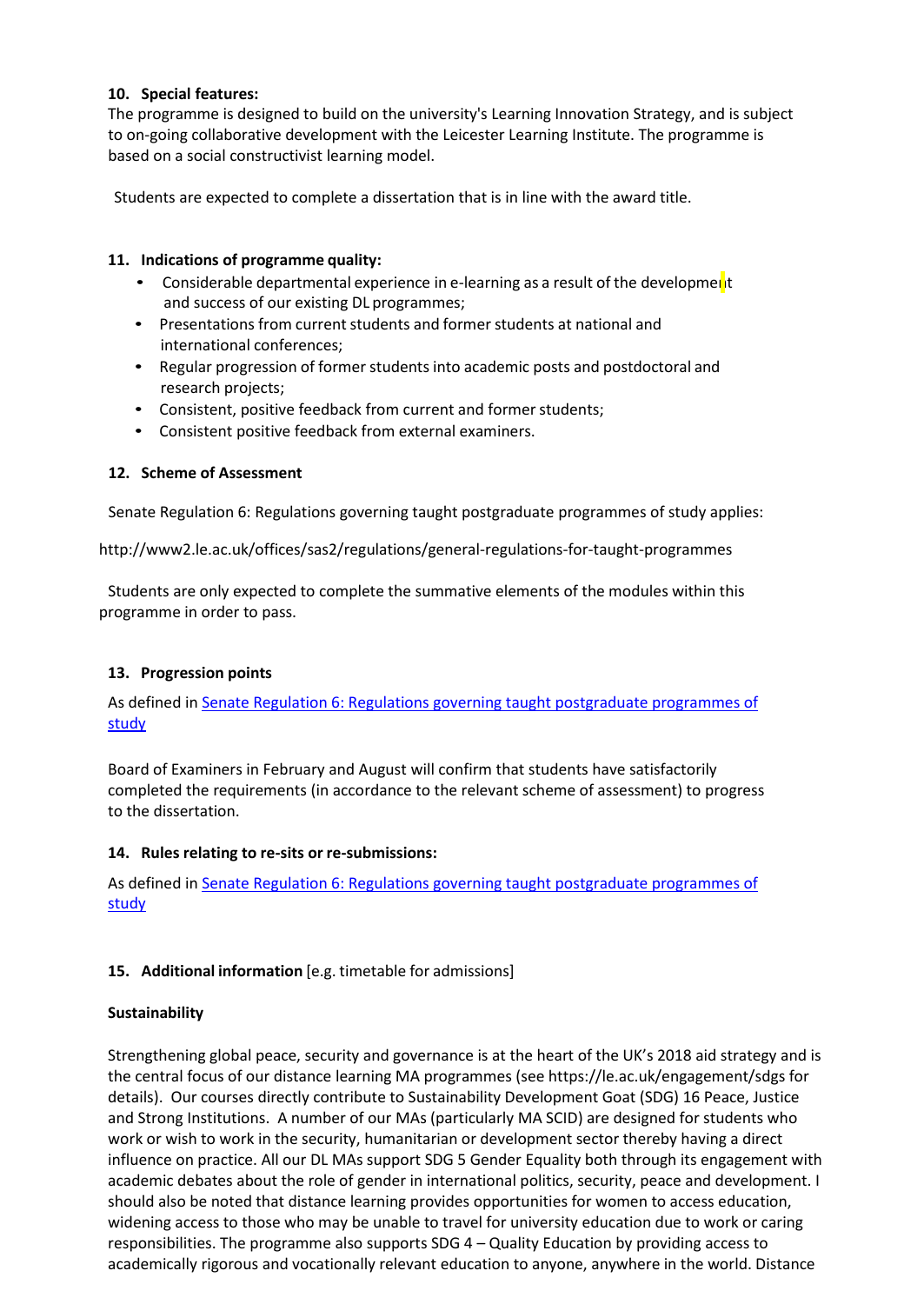## **10. Special features:**

The programme is designed to build on the university's Learning Innovation Strategy, and is subject to on-going collaborative development with the Leicester Learning Institute. The programme is based on a social constructivist learning model.

Students are expected to complete a dissertation that is in line with the award title.

## **11. Indications of programme quality:**

- Considerable departmental experience in e-learning as a result of the development and success of our existing DL programmes;
- Presentations from current students and former students at national and international conferences;
- Regular progression of former students into academic posts and postdoctoral and research projects;
- Consistent, positive feedback from current and former students;
- Consistent positive feedback from external examiners.

# **12. Scheme of Assessment**

Senate Regulation 6: Regulations governing taught postgraduate programmes of study applies[:](http://www2.le.ac.uk/offices/sas2/regulations/general-regulations-for-taught-programmes)

<http://www2.le.ac.uk/offices/sas2/regulations/general-regulations-for-taught-programmes>

Students are only expected to complete the summative elements of the modules within this programme in order to pass.

# **13. Progression points**

As defined in [Senate Regulation 6: Regulations governing taught postgraduate programmes of](http://www2.le.ac.uk/offices/sas2/regulations/general-regulations-for-taught-programmes) [study](http://www2.le.ac.uk/offices/sas2/regulations/general-regulations-for-taught-programmes)

Board of Examiners in February and August will confirm that students have satisfactorily completed the requirements (in accordance to the relevant scheme of assessment) to progress to the dissertation.

### **14. Rules relating to re-sits or re-submissions:**

As defined in [Senate Regulation 6: Regulations governing taught postgraduate programmes of](http://www2.le.ac.uk/offices/sas2/regulations/general-regulations-for-taught-programmes) [study](http://www2.le.ac.uk/offices/sas2/regulations/general-regulations-for-taught-programmes)

# **15. Additional information** [e.g. timetable for admissions]

### **Sustainability**

Strengthening global peace, security and governance is at the heart of the UK's 2018 aid strategy and is the central focus of our distance learning MA programmes (see https://le.ac.uk/engagement/sdgs for details). Our courses directly contribute to Sustainability Development Goat (SDG) 16 Peace, Justice and Strong Institutions. A number of our MAs (particularly MA SCID) are designed for students who work or wish to work in the security, humanitarian or development sector thereby having a direct influence on practice. All our DL MAs support SDG 5 Gender Equality both through its engagement with academic debates about the role of gender in international politics, security, peace and development. I should also be noted that distance learning provides opportunities for women to access education, widening access to those who may be unable to travel for university education due to work or caring responsibilities. The programme also supports SDG 4 – Quality Education by providing access to academically rigorous and vocationally relevant education to anyone, anywhere in the world. Distance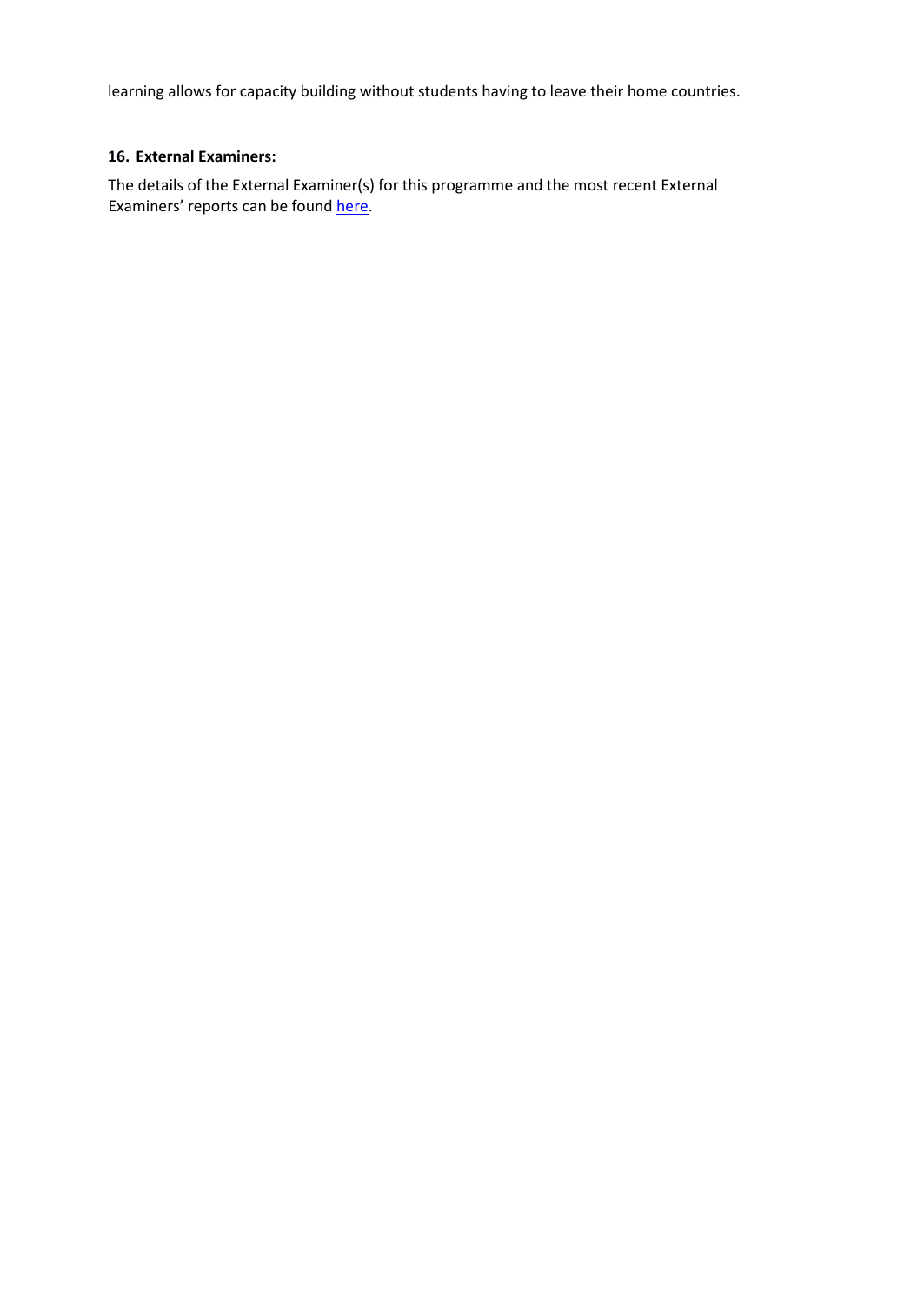learning allows for capacity building without students having to leave their home countries.

# **16. External Examiners:**

The details of the External Examiner(s) for this programme and the most recent External Examiners' reports can be found [here.](https://exampapers.le.ac.uk/xmlui/handle/123456789/227)